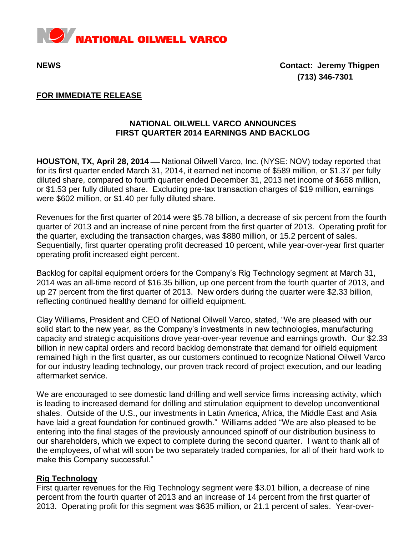

**NEWS Contact: Jeremy Thigpen (713) 346-7301**

### **FOR IMMEDIATE RELEASE**

# **NATIONAL OILWELL VARCO ANNOUNCES FIRST QUARTER 2014 EARNINGS AND BACKLOG**

HOUSTON, TX, April 28, 2014 – National Oilwell Varco, Inc. (NYSE: NOV) today reported that for its first quarter ended March 31, 2014, it earned net income of \$589 million, or \$1.37 per fully diluted share, compared to fourth quarter ended December 31, 2013 net income of \$658 million, or \$1.53 per fully diluted share. Excluding pre-tax transaction charges of \$19 million, earnings were \$602 million, or \$1.40 per fully diluted share.

Revenues for the first quarter of 2014 were \$5.78 billion, a decrease of six percent from the fourth quarter of 2013 and an increase of nine percent from the first quarter of 2013. Operating profit for the quarter, excluding the transaction charges, was \$880 million, or 15.2 percent of sales. Sequentially, first quarter operating profit decreased 10 percent, while year-over-year first quarter operating profit increased eight percent.

Backlog for capital equipment orders for the Company's Rig Technology segment at March 31, 2014 was an all-time record of \$16.35 billion, up one percent from the fourth quarter of 2013, and up 27 percent from the first quarter of 2013. New orders during the quarter were \$2.33 billion, reflecting continued healthy demand for oilfield equipment.

Clay Williams, President and CEO of National Oilwell Varco, stated, "We are pleased with our solid start to the new year, as the Company's investments in new technologies, manufacturing capacity and strategic acquisitions drove year-over-year revenue and earnings growth. Our \$2.33 billion in new capital orders and record backlog demonstrate that demand for oilfield equipment remained high in the first quarter, as our customers continued to recognize National Oilwell Varco for our industry leading technology, our proven track record of project execution, and our leading aftermarket service.

We are encouraged to see domestic land drilling and well service firms increasing activity, which is leading to increased demand for drilling and stimulation equipment to develop unconventional shales. Outside of the U.S., our investments in Latin America, Africa, the Middle East and Asia have laid a great foundation for continued growth." Williams added "We are also pleased to be entering into the final stages of the previously announced spinoff of our distribution business to our shareholders, which we expect to complete during the second quarter. I want to thank all of the employees, of what will soon be two separately traded companies, for all of their hard work to make this Company successful."

## **Rig Technology**

First quarter revenues for the Rig Technology segment were \$3.01 billion, a decrease of nine percent from the fourth quarter of 2013 and an increase of 14 percent from the first quarter of 2013. Operating profit for this segment was \$635 million, or 21.1 percent of sales. Year-over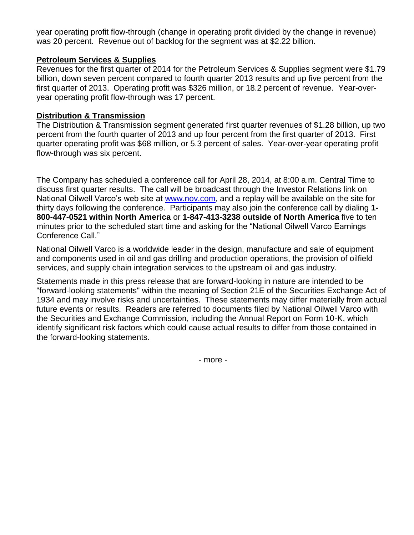year operating profit flow-through (change in operating profit divided by the change in revenue) was 20 percent. Revenue out of backlog for the segment was at \$2.22 billion.

## **Petroleum Services & Supplies**

Revenues for the first quarter of 2014 for the Petroleum Services & Supplies segment were \$1.79 billion, down seven percent compared to fourth quarter 2013 results and up five percent from the first quarter of 2013. Operating profit was \$326 million, or 18.2 percent of revenue. Year-overyear operating profit flow-through was 17 percent.

## **Distribution & Transmission**

The Distribution & Transmission segment generated first quarter revenues of \$1.28 billion, up two percent from the fourth quarter of 2013 and up four percent from the first quarter of 2013. First quarter operating profit was \$68 million, or 5.3 percent of sales. Year-over-year operating profit flow-through was six percent.

The Company has scheduled a conference call for April 28, 2014, at 8:00 a.m. Central Time to discuss first quarter results. The call will be broadcast through the Investor Relations link on National Oilwell Varco's web site at [www.nov.com,](http://www.nov.com/) and a replay will be available on the site for thirty days following the conference. Participants may also join the conference call by dialing **1- 800-447-0521 within North America** or **1-847-413-3238 outside of North America** five to ten minutes prior to the scheduled start time and asking for the "National Oilwell Varco Earnings Conference Call."

National Oilwell Varco is a worldwide leader in the design, manufacture and sale of equipment and components used in oil and gas drilling and production operations, the provision of oilfield services, and supply chain integration services to the upstream oil and gas industry.

Statements made in this press release that are forward-looking in nature are intended to be "forward-looking statements" within the meaning of Section 21E of the Securities Exchange Act of 1934 and may involve risks and uncertainties. These statements may differ materially from actual future events or results. Readers are referred to documents filed by National Oilwell Varco with the Securities and Exchange Commission, including the Annual Report on Form 10-K, which identify significant risk factors which could cause actual results to differ from those contained in the forward-looking statements.

- more -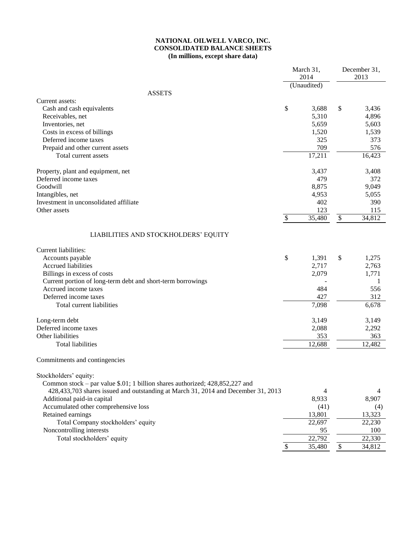#### **NATIONAL OILWELL VARCO, INC. CONSOLIDATED BALANCE SHEETS (In millions, except share data)**

|                                                                                   | March 31,           |                     | December 31,            |        |
|-----------------------------------------------------------------------------------|---------------------|---------------------|-------------------------|--------|
|                                                                                   | 2014<br>(Unaudited) |                     |                         | 2013   |
| <b>ASSETS</b>                                                                     |                     |                     |                         |        |
| Current assets:                                                                   |                     |                     |                         |        |
| Cash and cash equivalents                                                         | \$                  | 3,688               | \$                      | 3,436  |
| Receivables, net                                                                  |                     | 5,310               |                         | 4,896  |
| Inventories, net                                                                  |                     | 5,659               |                         | 5,603  |
| Costs in excess of billings                                                       |                     | 1,520               |                         | 1,539  |
| Deferred income taxes                                                             |                     | 325                 |                         | 373    |
| Prepaid and other current assets                                                  |                     | 709                 |                         | 576    |
| Total current assets                                                              |                     | 17,211              |                         | 16,423 |
| Property, plant and equipment, net                                                |                     | 3,437               |                         | 3,408  |
| Deferred income taxes                                                             |                     | 479                 |                         | 372    |
| Goodwill                                                                          |                     | 8,875               |                         | 9,049  |
| Intangibles, net                                                                  |                     | 4,953               |                         | 5,055  |
| Investment in unconsolidated affiliate                                            |                     | 402                 |                         | 390    |
| Other assets                                                                      |                     | 123                 |                         | 115    |
|                                                                                   | \$                  | 35,480              | $\sqrt[6]{\frac{1}{2}}$ | 34,812 |
| LIABILITIES AND STOCKHOLDERS' EQUITY                                              |                     |                     |                         |        |
| Current liabilities:                                                              |                     |                     |                         |        |
| Accounts payable                                                                  | \$                  | 1,391               | \$                      | 1,275  |
| Accrued liabilities                                                               |                     | 2,717               |                         | 2,763  |
| Billings in excess of costs                                                       |                     | 2,079               |                         | 1,771  |
| Current portion of long-term debt and short-term borrowings                       |                     |                     |                         | 1      |
| Accrued income taxes                                                              |                     | 484                 |                         | 556    |
| Deferred income taxes                                                             |                     | 427                 |                         | 312    |
| Total current liabilities                                                         |                     | 7,098               |                         | 6,678  |
| Long-term debt                                                                    |                     | 3,149               |                         | 3,149  |
| Deferred income taxes                                                             |                     | 2,088               |                         | 2,292  |
| Other liabilities                                                                 |                     | 353                 |                         | 363    |
| <b>Total liabilities</b>                                                          |                     | 12,688              |                         | 12,482 |
| Commitments and contingencies                                                     |                     |                     |                         |        |
| Stockholders' equity:                                                             |                     |                     |                         |        |
| Common stock - par value \$.01; 1 billion shares authorized; 428,852,227 and      |                     |                     |                         |        |
| 428,433,703 shares issued and outstanding at March 31, 2014 and December 31, 2013 |                     | 4                   |                         | 4      |
| Additional paid-in capital                                                        |                     | 8,933               |                         | 8,907  |
| Accumulated other comprehensive loss                                              |                     | (41)                |                         | (4)    |
| Retained earnings                                                                 |                     | 13,801              |                         | 13,323 |
| Total Company stockholders' equity                                                |                     | 22,697              |                         | 22,230 |
| Noncontrolling interests                                                          |                     | 95                  |                         | 100    |
| Total stockholders' equity                                                        |                     | $\overline{22,792}$ |                         | 22,330 |
|                                                                                   | $\mathbb{S}$        | 35,480              | $\mathbb{S}$            | 34,812 |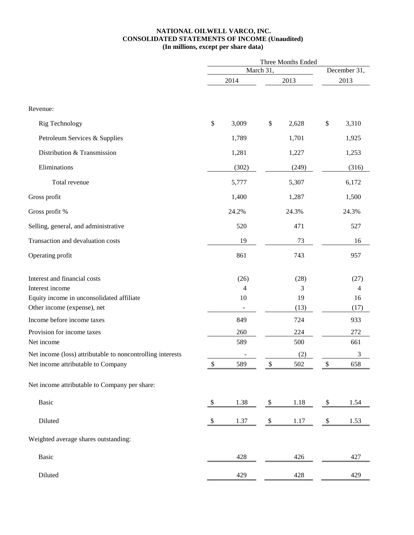#### **NATIONAL OILWELL VARCO, INC. CONSOLIDATED STATEMENTS OF INCOME (Unaudited) (In millions, except per share data)**

| March 31,<br>2013<br>2014<br>2013<br>Revenue:<br>\$<br>$\$$<br>\$<br>Rig Technology<br>3,009<br>2,628<br>3,310<br>Petroleum Services & Supplies<br>1,789<br>1,701<br>1,925<br>Distribution & Transmission<br>1,281<br>1,253<br>1,227<br>Eliminations<br>(302)<br>(249)<br>(316)<br>Total revenue<br>5,777<br>5,307<br>6,172<br>Gross profit<br>1,400<br>1,500<br>1,287<br>24.3%<br>Gross profit %<br>24.2%<br>24.3%<br>Selling, general, and administrative<br>520<br>471<br>527<br>Transaction and devaluation costs<br>19<br>73<br>16<br>861<br>743<br>957<br>Operating profit<br>Interest and financial costs<br>(28)<br>(26)<br>(27)<br>Interest income<br>3<br>$\overline{\mathcal{A}}$<br>4<br>Equity income in unconsolidated affiliate<br>10<br>19<br>16<br>Other income (expense), net<br>(13)<br>(17)<br>$\qquad \qquad \blacksquare$<br>Income before income taxes<br>849<br>724<br>933<br>Provision for income taxes<br>224<br>272<br>260<br>500<br>Net income<br>589<br>661<br>(2)<br>3<br>Net income (loss) attributable to noncontrolling interests<br>Net income attributable to Company<br>\$<br>589<br>\$<br>502<br>\$<br>658<br>Net income attributable to Company per share:<br><b>Basic</b><br>1.38<br>$\$\,$<br>1.18<br>1.54<br>$\boldsymbol{\mathsf{S}}$<br>\$<br>Diluted<br>$\boldsymbol{\mathsf{S}}$<br>1.37<br>$\boldsymbol{\mathsf{S}}$<br>1.17<br>\$<br>1.53<br>Weighted average shares outstanding:<br><b>Basic</b><br>426<br>428<br>427 |         | <b>Three Months Ended</b> |     |  |     |              |     |
|-----------------------------------------------------------------------------------------------------------------------------------------------------------------------------------------------------------------------------------------------------------------------------------------------------------------------------------------------------------------------------------------------------------------------------------------------------------------------------------------------------------------------------------------------------------------------------------------------------------------------------------------------------------------------------------------------------------------------------------------------------------------------------------------------------------------------------------------------------------------------------------------------------------------------------------------------------------------------------------------------------------------------------------------------------------------------------------------------------------------------------------------------------------------------------------------------------------------------------------------------------------------------------------------------------------------------------------------------------------------------------------------------------------------------------------------------------------------------|---------|---------------------------|-----|--|-----|--------------|-----|
|                                                                                                                                                                                                                                                                                                                                                                                                                                                                                                                                                                                                                                                                                                                                                                                                                                                                                                                                                                                                                                                                                                                                                                                                                                                                                                                                                                                                                                                                       |         |                           |     |  |     | December 31, |     |
|                                                                                                                                                                                                                                                                                                                                                                                                                                                                                                                                                                                                                                                                                                                                                                                                                                                                                                                                                                                                                                                                                                                                                                                                                                                                                                                                                                                                                                                                       |         |                           |     |  |     |              |     |
|                                                                                                                                                                                                                                                                                                                                                                                                                                                                                                                                                                                                                                                                                                                                                                                                                                                                                                                                                                                                                                                                                                                                                                                                                                                                                                                                                                                                                                                                       |         |                           |     |  |     |              |     |
|                                                                                                                                                                                                                                                                                                                                                                                                                                                                                                                                                                                                                                                                                                                                                                                                                                                                                                                                                                                                                                                                                                                                                                                                                                                                                                                                                                                                                                                                       |         |                           |     |  |     |              |     |
|                                                                                                                                                                                                                                                                                                                                                                                                                                                                                                                                                                                                                                                                                                                                                                                                                                                                                                                                                                                                                                                                                                                                                                                                                                                                                                                                                                                                                                                                       |         |                           |     |  |     |              |     |
|                                                                                                                                                                                                                                                                                                                                                                                                                                                                                                                                                                                                                                                                                                                                                                                                                                                                                                                                                                                                                                                                                                                                                                                                                                                                                                                                                                                                                                                                       |         |                           |     |  |     |              |     |
|                                                                                                                                                                                                                                                                                                                                                                                                                                                                                                                                                                                                                                                                                                                                                                                                                                                                                                                                                                                                                                                                                                                                                                                                                                                                                                                                                                                                                                                                       |         |                           |     |  |     |              |     |
|                                                                                                                                                                                                                                                                                                                                                                                                                                                                                                                                                                                                                                                                                                                                                                                                                                                                                                                                                                                                                                                                                                                                                                                                                                                                                                                                                                                                                                                                       |         |                           |     |  |     |              |     |
|                                                                                                                                                                                                                                                                                                                                                                                                                                                                                                                                                                                                                                                                                                                                                                                                                                                                                                                                                                                                                                                                                                                                                                                                                                                                                                                                                                                                                                                                       |         |                           |     |  |     |              |     |
|                                                                                                                                                                                                                                                                                                                                                                                                                                                                                                                                                                                                                                                                                                                                                                                                                                                                                                                                                                                                                                                                                                                                                                                                                                                                                                                                                                                                                                                                       |         |                           |     |  |     |              |     |
|                                                                                                                                                                                                                                                                                                                                                                                                                                                                                                                                                                                                                                                                                                                                                                                                                                                                                                                                                                                                                                                                                                                                                                                                                                                                                                                                                                                                                                                                       |         |                           |     |  |     |              |     |
|                                                                                                                                                                                                                                                                                                                                                                                                                                                                                                                                                                                                                                                                                                                                                                                                                                                                                                                                                                                                                                                                                                                                                                                                                                                                                                                                                                                                                                                                       |         |                           |     |  |     |              |     |
|                                                                                                                                                                                                                                                                                                                                                                                                                                                                                                                                                                                                                                                                                                                                                                                                                                                                                                                                                                                                                                                                                                                                                                                                                                                                                                                                                                                                                                                                       |         |                           |     |  |     |              |     |
|                                                                                                                                                                                                                                                                                                                                                                                                                                                                                                                                                                                                                                                                                                                                                                                                                                                                                                                                                                                                                                                                                                                                                                                                                                                                                                                                                                                                                                                                       |         |                           |     |  |     |              |     |
|                                                                                                                                                                                                                                                                                                                                                                                                                                                                                                                                                                                                                                                                                                                                                                                                                                                                                                                                                                                                                                                                                                                                                                                                                                                                                                                                                                                                                                                                       |         |                           |     |  |     |              |     |
|                                                                                                                                                                                                                                                                                                                                                                                                                                                                                                                                                                                                                                                                                                                                                                                                                                                                                                                                                                                                                                                                                                                                                                                                                                                                                                                                                                                                                                                                       |         |                           |     |  |     |              |     |
|                                                                                                                                                                                                                                                                                                                                                                                                                                                                                                                                                                                                                                                                                                                                                                                                                                                                                                                                                                                                                                                                                                                                                                                                                                                                                                                                                                                                                                                                       |         |                           |     |  |     |              |     |
|                                                                                                                                                                                                                                                                                                                                                                                                                                                                                                                                                                                                                                                                                                                                                                                                                                                                                                                                                                                                                                                                                                                                                                                                                                                                                                                                                                                                                                                                       |         |                           |     |  |     |              |     |
|                                                                                                                                                                                                                                                                                                                                                                                                                                                                                                                                                                                                                                                                                                                                                                                                                                                                                                                                                                                                                                                                                                                                                                                                                                                                                                                                                                                                                                                                       |         |                           |     |  |     |              |     |
|                                                                                                                                                                                                                                                                                                                                                                                                                                                                                                                                                                                                                                                                                                                                                                                                                                                                                                                                                                                                                                                                                                                                                                                                                                                                                                                                                                                                                                                                       |         |                           |     |  |     |              |     |
|                                                                                                                                                                                                                                                                                                                                                                                                                                                                                                                                                                                                                                                                                                                                                                                                                                                                                                                                                                                                                                                                                                                                                                                                                                                                                                                                                                                                                                                                       |         |                           |     |  |     |              |     |
|                                                                                                                                                                                                                                                                                                                                                                                                                                                                                                                                                                                                                                                                                                                                                                                                                                                                                                                                                                                                                                                                                                                                                                                                                                                                                                                                                                                                                                                                       |         |                           |     |  |     |              |     |
|                                                                                                                                                                                                                                                                                                                                                                                                                                                                                                                                                                                                                                                                                                                                                                                                                                                                                                                                                                                                                                                                                                                                                                                                                                                                                                                                                                                                                                                                       |         |                           |     |  |     |              |     |
|                                                                                                                                                                                                                                                                                                                                                                                                                                                                                                                                                                                                                                                                                                                                                                                                                                                                                                                                                                                                                                                                                                                                                                                                                                                                                                                                                                                                                                                                       |         |                           |     |  |     |              |     |
|                                                                                                                                                                                                                                                                                                                                                                                                                                                                                                                                                                                                                                                                                                                                                                                                                                                                                                                                                                                                                                                                                                                                                                                                                                                                                                                                                                                                                                                                       |         |                           |     |  |     |              |     |
|                                                                                                                                                                                                                                                                                                                                                                                                                                                                                                                                                                                                                                                                                                                                                                                                                                                                                                                                                                                                                                                                                                                                                                                                                                                                                                                                                                                                                                                                       |         |                           |     |  |     |              |     |
|                                                                                                                                                                                                                                                                                                                                                                                                                                                                                                                                                                                                                                                                                                                                                                                                                                                                                                                                                                                                                                                                                                                                                                                                                                                                                                                                                                                                                                                                       |         |                           |     |  |     |              |     |
|                                                                                                                                                                                                                                                                                                                                                                                                                                                                                                                                                                                                                                                                                                                                                                                                                                                                                                                                                                                                                                                                                                                                                                                                                                                                                                                                                                                                                                                                       |         |                           |     |  |     |              |     |
|                                                                                                                                                                                                                                                                                                                                                                                                                                                                                                                                                                                                                                                                                                                                                                                                                                                                                                                                                                                                                                                                                                                                                                                                                                                                                                                                                                                                                                                                       | Diluted |                           | 429 |  | 428 |              | 429 |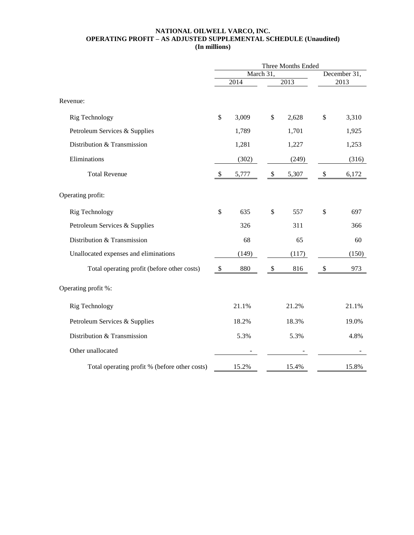#### **NATIONAL OILWELL VARCO, INC. OPERATING PROFIT – AS ADJUSTED SUPPLEMENTAL SCHEDULE (Unaudited) (In millions)**

|                                               | Three Months Ended        |       |                           |              |    |       |
|-----------------------------------------------|---------------------------|-------|---------------------------|--------------|----|-------|
|                                               | March 31,                 |       |                           | December 31, |    |       |
|                                               |                           | 2014  |                           | 2013         |    | 2013  |
| Revenue:                                      |                           |       |                           |              |    |       |
| Rig Technology                                | \$                        | 3,009 | \$                        | 2,628        | \$ | 3,310 |
| Petroleum Services & Supplies                 |                           | 1,789 |                           | 1,701        |    | 1,925 |
| Distribution & Transmission                   |                           | 1,281 |                           | 1,227        |    | 1,253 |
| Eliminations                                  |                           | (302) |                           | (249)        |    | (316) |
| <b>Total Revenue</b>                          | $\mathcal{S}$             | 5,777 | $\boldsymbol{\mathsf{S}}$ | 5,307        | \$ | 6,172 |
| Operating profit:                             |                           |       |                           |              |    |       |
| <b>Rig Technology</b>                         | \$                        | 635   | \$                        | 557          | \$ | 697   |
| Petroleum Services & Supplies                 |                           | 326   |                           | 311          |    | 366   |
| Distribution & Transmission                   |                           | 68    |                           | 65           |    | 60    |
| Unallocated expenses and eliminations         |                           | (149) |                           | (117)        |    | (150) |
| Total operating profit (before other costs)   | $\boldsymbol{\mathsf{S}}$ | 880   | $\mathbb S$               | 816          | \$ | 973   |
| Operating profit %:                           |                           |       |                           |              |    |       |
| Rig Technology                                |                           | 21.1% |                           | 21.2%        |    | 21.1% |
| Petroleum Services & Supplies                 |                           | 18.2% |                           | 18.3%        |    | 19.0% |
| Distribution & Transmission                   |                           | 5.3%  |                           | 5.3%         |    | 4.8%  |
| Other unallocated                             |                           |       |                           |              |    |       |
| Total operating profit % (before other costs) |                           | 15.2% |                           | 15.4%        |    | 15.8% |